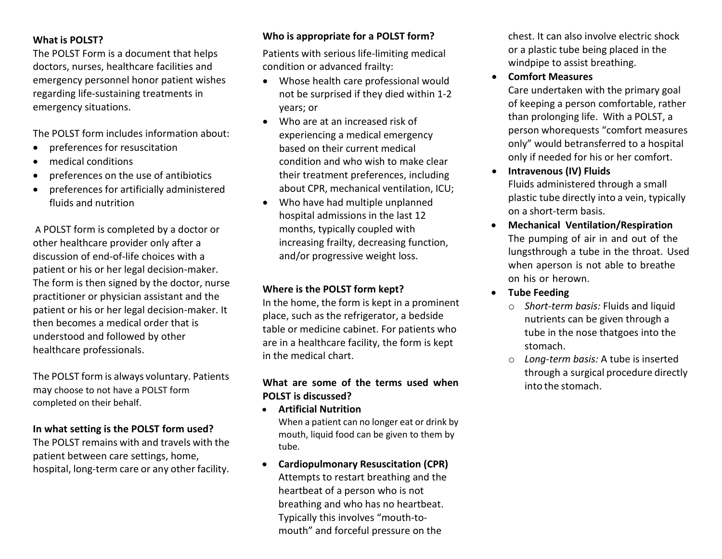#### **What is POLST?**

The POLST Form is a document that helps doctors, nurses, healthcare facilities and emergency personnel honor patient wishes regarding life-sustaining treatments in emergency situations.

The POLST form includes information about:

- preferences for resuscitation
- medical conditions
- preferences on the use of antibiotics
- preferences for artificially administered fluids and nutrition

A POLST form is completed by a doctor or other healthcare provider only after a discussion of end-of-life choices with a patient or his or her legal decision-maker. The form is then signed by the doctor, nurse practitioner or physician assistant and the patient or his or her legal decision-maker. It then becomes a medical order that is understood and followed by other healthcare professionals.

The POLST form is always voluntary. Patients may choose to not have a POLST form completed on their behalf.

#### **In what setting is the POLST form used?**

The POLST remains with and travels with the patient between care settings, home, hospital, long-term care or any other facility.

# **Who is appropriate for a POLST form?**

Patients with serious life-limiting medical condition or advanced frailty:

- Whose health care professional would not be surprised if they died within 1-2 years; or
- Who are at an increased risk of experiencing a medical emergency based on their current medical condition and who wish to make clear their treatment preferences, including about CPR, mechanical ventilation, ICU;
- Who have had multiple unplanned hospital admissions in the last 12 months, typically coupled with increasing frailty, decreasing function, and/or progressive weight loss.

## **Where is the POLST form kept?**

In the home, the form is kept in a prominent place, such as the refrigerator, a bedside table or medicine cabinet. For patients who are in a healthcare facility, the form is kept in the medical chart.

### **What are some of the terms used when POLST is discussed?**

• **Artificial Nutrition**

When a patient can no longer eat or drink by mouth, liquid food can be given to them by tube.

• **Cardiopulmonary Resuscitation (CPR)** Attempts to restart breathing and the heartbeat of a person who is not breathing and who has no heartbeat. Typically this involves "mouth-tomouth" and forceful pressure on the

chest. It can also involve electric shock or a plastic tube being placed in the windpipe to assist breathing.

• **Comfort Measures**

Care undertaken with the primary goal of keeping a person comfortable, rather than prolonging life. With a POLST, a person whorequests "comfort measures only" would betransferred to a hospital only if needed for his or her comfort.

- **Intravenous (IV) Fluids** Fluids administered through a small plastic tube directly into a vein, typically on a short-term basis.
- **Mechanical Ventilation/Respiration** The pumping of air in and out of the lungsthrough a tube in the throat. Used when aperson is not able to breathe on his or herown.
- **Tube Feeding**
	- o *Short-term basis:* Fluids and liquid nutrients can be given through a tube in the nose thatgoes into the stomach.
	- o *Long-term basis:* A tube is inserted through a surgical procedure directly into the stomach.